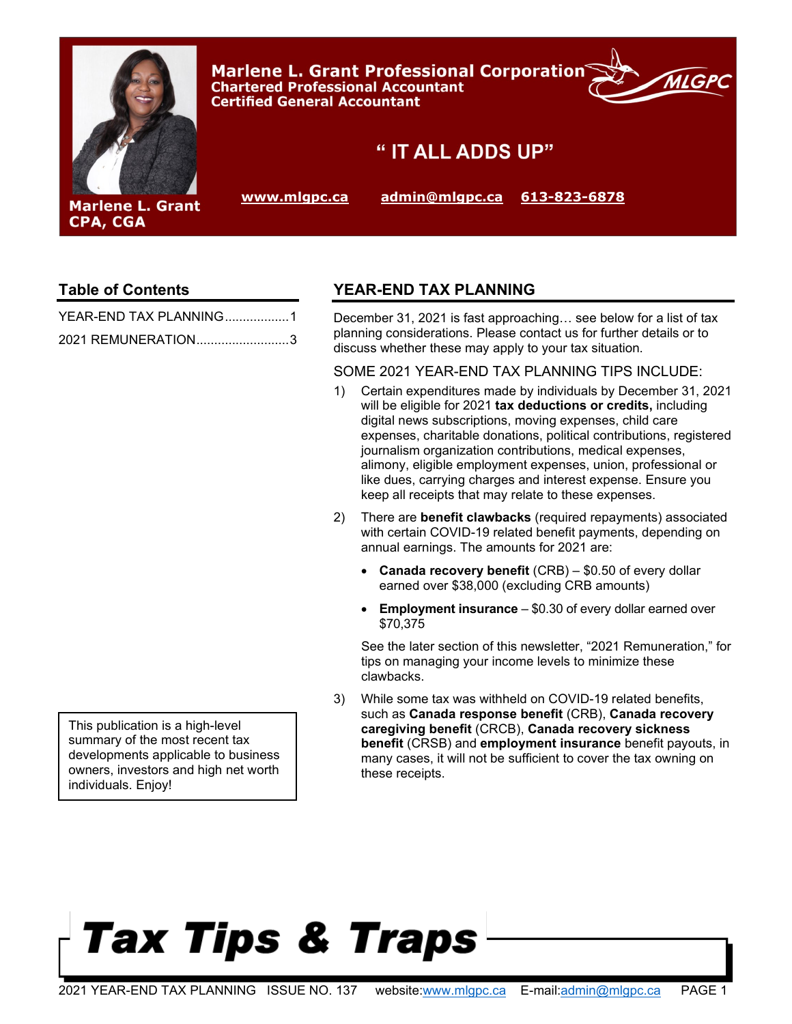

### **Table of Contents**

| YEAR-END TAX PLANNING1 |  |
|------------------------|--|
| 2021 REMUNERATION3     |  |

### <span id="page-0-0"></span>**YEAR-END TAX PLANNING**

December 31, 2021 is fast approaching… see below for a list of tax planning considerations. Please contact us for further details or to discuss whether these may apply to your tax situation.

#### SOME 2021 YEAR-END TAX PLANNING TIPS INCLUDE:

- 1) Certain expenditures made by individuals by December 31, 2021 will be eligible for 2021 **tax deductions or credits,** including digital news subscriptions, moving expenses, child care expenses, charitable donations, political contributions, registered journalism organization contributions, medical expenses, alimony, eligible employment expenses, union, professional or like dues, carrying charges and interest expense. Ensure you keep all receipts that may relate to these expenses.
- 2) There are **benefit clawbacks** (required repayments) associated with certain COVID-19 related benefit payments, depending on annual earnings. The amounts for 2021 are:
	- **Canada recovery benefit** (CRB) \$0.50 of every dollar earned over \$38,000 (excluding CRB amounts)
	- **Employment insurance** \$0.30 of every dollar earned over \$70,375

See the later section of this newsletter, "2021 Remuneration," for tips on managing your income levels to minimize these clawbacks.

3) While some tax was withheld on COVID-19 related benefits, such as **Canada response benefit** (CRB), **Canada recovery caregiving benefit** (CRCB), **Canada recovery sickness benefit** (CRSB) and **employment insurance** benefit payouts, in many cases, it will not be sufficient to cover the tax owning on these receipts.

# Tax Tips & Traps

This publication is a high-level summary of the most recent tax developments applicable to business owners, investors and high net worth individuals. Enjoy!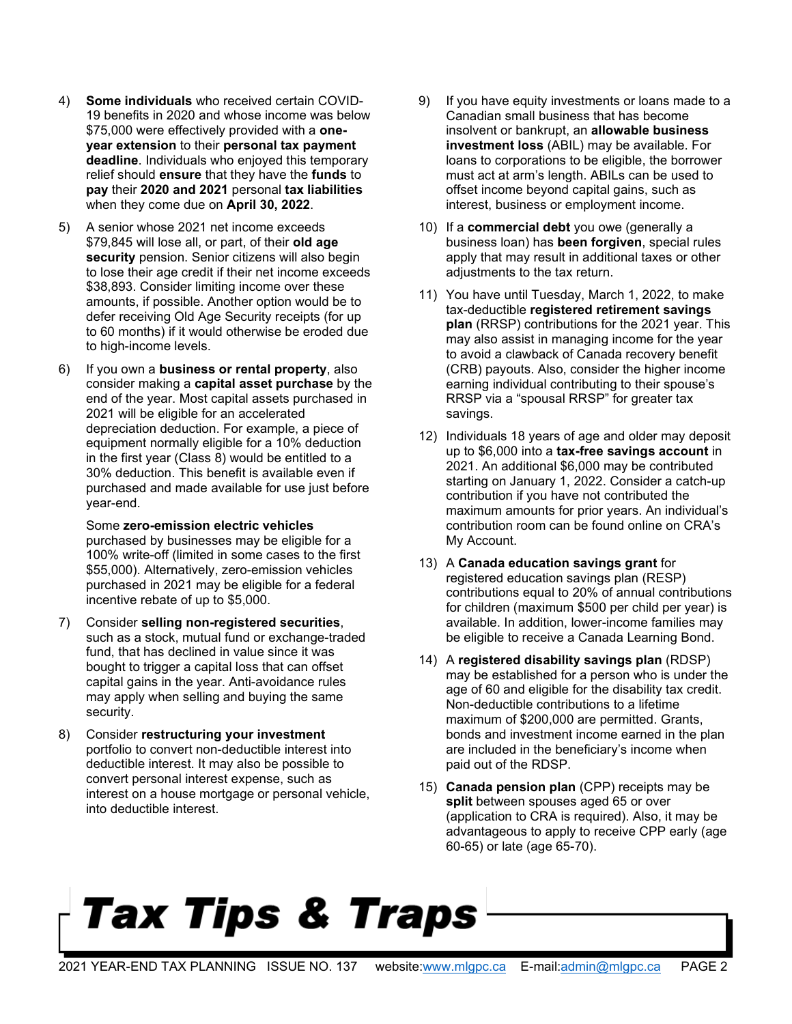- 4) **Some individuals** who received certain COVID-19 benefits in 2020 and whose income was below \$75,000 were effectively provided with a **oneyear extension** to their **personal tax payment deadline**. Individuals who enjoyed this temporary relief should **ensure** that they have the **funds** to **pay** their **2020 and 2021** personal **tax liabilities** when they come due on **April 30, 2022**.
- 5) A senior whose 2021 net income exceeds \$79,845 will lose all, or part, of their **old age security** pension. Senior citizens will also begin to lose their age credit if their net income exceeds \$38,893. Consider limiting income over these amounts, if possible. Another option would be to defer receiving Old Age Security receipts (for up to 60 months) if it would otherwise be eroded due to high-income levels.
- 6) If you own a **business or rental property**, also consider making a **capital asset purchase** by the end of the year. Most capital assets purchased in 2021 will be eligible for an accelerated depreciation deduction. For example, a piece of equipment normally eligible for a 10% deduction in the first year (Class 8) would be entitled to a 30% deduction. This benefit is available even if purchased and made available for use just before year-end.

Some **zero-emission electric vehicles** purchased by businesses may be eligible for a 100% write-off (limited in some cases to the first \$55,000). Alternatively, zero-emission vehicles purchased in 2021 may be eligible for a federal incentive rebate of up to \$5,000.

- 7) Consider **selling non-registered securities**, such as a stock, mutual fund or exchange-traded fund, that has declined in value since it was bought to trigger a capital loss that can offset capital gains in the year. Anti-avoidance rules may apply when selling and buying the same security.
- 8) Consider **restructuring your investment** portfolio to convert non-deductible interest into deductible interest. It may also be possible to convert personal interest expense, such as interest on a house mortgage or personal vehicle, into deductible interest.
- 9) If you have equity investments or loans made to a Canadian small business that has become insolvent or bankrupt, an **allowable business investment loss** (ABIL) may be available. For loans to corporations to be eligible, the borrower must act at arm's length. ABILs can be used to offset income beyond capital gains, such as interest, business or employment income.
- 10) If a **commercial debt** you owe (generally a business loan) has **been forgiven**, special rules apply that may result in additional taxes or other adjustments to the tax return.
- 11) You have until Tuesday, March 1, 2022, to make tax-deductible **registered retirement savings plan** (RRSP) contributions for the 2021 year. This may also assist in managing income for the year to avoid a clawback of Canada recovery benefit (CRB) payouts. Also, consider the higher income earning individual contributing to their spouse's RRSP via a "spousal RRSP" for greater tax savings.
- 12) Individuals 18 years of age and older may deposit up to \$6,000 into a **tax-free savings account** in 2021. An additional \$6,000 may be contributed starting on January 1, 2022. Consider a catch-up contribution if you have not contributed the maximum amounts for prior years. An individual's contribution room can be found online on CRA's My Account.
- 13) A **Canada education savings grant** for registered education savings plan (RESP) contributions equal to 20% of annual contributions for children (maximum \$500 per child per year) is available. In addition, lower-income families may be eligible to receive a Canada Learning Bond.
- 14) A **registered disability savings plan** (RDSP) may be established for a person who is under the age of 60 and eligible for the disability tax credit. Non-deductible contributions to a lifetime maximum of \$200,000 are permitted. Grants, bonds and investment income earned in the plan are included in the beneficiary's income when paid out of the RDSP.
- 15) **Canada pension plan** (CPP) receipts may be **split** between spouses aged 65 or over (application to CRA is required). Also, it may be advantageous to apply to receive CPP early (age 60-65) or late (age 65-70).

# Tax Tips & Traps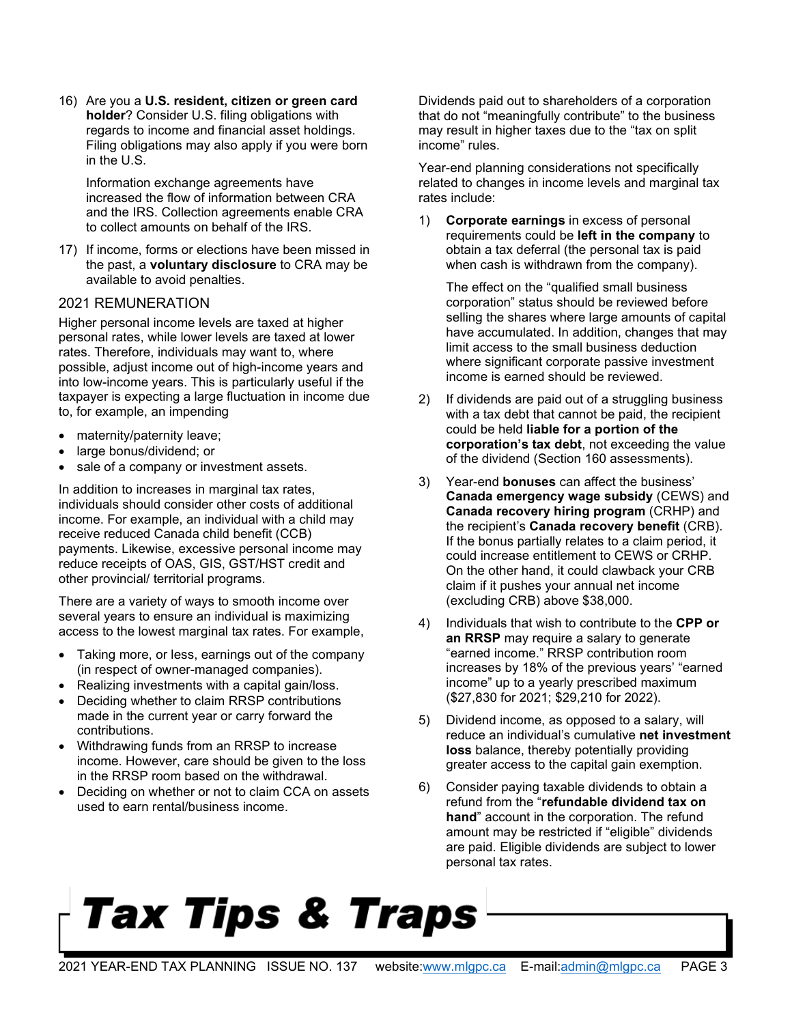16) Are you a **U.S. resident, citizen or green card holder**? Consider U.S. filing obligations with regards to income and financial asset holdings. Filing obligations may also apply if you were born in the U.S.

Information exchange agreements have increased the flow of information between CRA and the IRS. Collection agreements enable CRA to collect amounts on behalf of the IRS.

17) If income, forms or elections have been missed in the past, a **voluntary disclosure** to CRA may be available to avoid penalties.

#### <span id="page-2-0"></span>2021 REMUNERATION

Higher personal income levels are taxed at higher personal rates, while lower levels are taxed at lower rates. Therefore, individuals may want to, where possible, adjust income out of high-income years and into low-income years. This is particularly useful if the taxpayer is expecting a large fluctuation in income due to, for example, an impending

- maternity/paternity leave;
- large bonus/dividend; or
- sale of a company or investment assets.

In addition to increases in marginal tax rates, individuals should consider other costs of additional income. For example, an individual with a child may receive reduced Canada child benefit (CCB) payments. Likewise, excessive personal income may reduce receipts of OAS, GIS, GST/HST credit and other provincial/ territorial programs.

There are a variety of ways to smooth income over several years to ensure an individual is maximizing access to the lowest marginal tax rates. For example,

- Taking more, or less, earnings out of the company (in respect of owner-managed companies).
- Realizing investments with a capital gain/loss.
- Deciding whether to claim RRSP contributions made in the current year or carry forward the contributions.
- Withdrawing funds from an RRSP to increase income. However, care should be given to the loss in the RRSP room based on the withdrawal.
- Deciding on whether or not to claim CCA on assets used to earn rental/business income.

Dividends paid out to shareholders of a corporation that do not "meaningfully contribute" to the business may result in higher taxes due to the "tax on split income" rules.

Year-end planning considerations not specifically related to changes in income levels and marginal tax rates include:

1) **Corporate earnings** in excess of personal requirements could be **left in the company** to obtain a tax deferral (the personal tax is paid when cash is withdrawn from the company).

The effect on the "qualified small business corporation" status should be reviewed before selling the shares where large amounts of capital have accumulated. In addition, changes that may limit access to the small business deduction where significant corporate passive investment income is earned should be reviewed.

- 2) If dividends are paid out of a struggling business with a tax debt that cannot be paid, the recipient could be held **liable for a portion of the corporation's tax debt**, not exceeding the value of the dividend (Section 160 assessments).
- 3) Year-end **bonuses** can affect the business' **Canada emergency wage subsidy** (CEWS) and **Canada recovery hiring program** (CRHP) and the recipient's **Canada recovery benefit** (CRB). If the bonus partially relates to a claim period, it could increase entitlement to CEWS or CRHP. On the other hand, it could clawback your CRB claim if it pushes your annual net income (excluding CRB) above \$38,000.
- 4) Individuals that wish to contribute to the **CPP or an RRSP** may require a salary to generate "earned income." RRSP contribution room increases by 18% of the previous years' "earned income" up to a yearly prescribed maximum (\$27,830 for 2021; \$29,210 for 2022).
- 5) Dividend income, as opposed to a salary, will reduce an individual's cumulative **net investment loss** balance, thereby potentially providing greater access to the capital gain exemption.
- 6) Consider paying taxable dividends to obtain a refund from the "**refundable dividend tax on hand**" account in the corporation. The refund amount may be restricted if "eligible" dividends are paid. Eligible dividends are subject to lower personal tax rates.

## Tax Tips & Traps